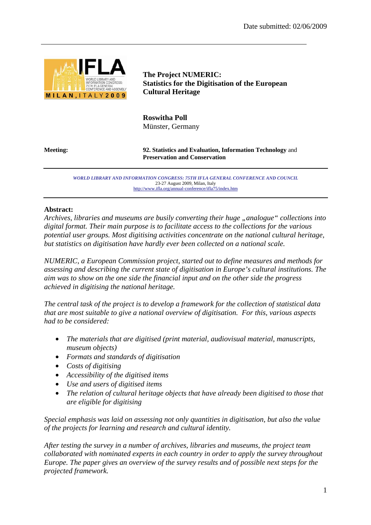

**The Project NUMERIC: Statistics for the Digitisation of the European Cultural Heritage** 

**Roswitha Poll**  Münster, Germany

**Meeting: 92. Statistics and Evaluation, Information Technology** and **Preservation and Conservation**

> *WORLD LIBRARY AND INFORMATION CONGRESS: 75TH IFLA GENERAL CONFERENCE AND COUNCIL*  23-27 August 2009, Milan, Italy //www.ifla.org/annual-conference/ifla75/index.htm

#### **Abstract:**

*Archives, libraries and museums are busily converting their huge "analogue" collections into digital format. Their main purpose is to facilitate access to the collections for the various potential user groups. Most digitising activities concentrate on the national cultural heritage, but statistics on digitisation have hardly ever been collected on a national scale.* 

*NUMERIC, a European Commission project, started out to define measures and methods for assessing and describing the current state of digitisation in Europe's cultural institutions. The aim was to show on the one side the financial input and on the other side the progress achieved in digitising the national heritage.* 

*The central task of the project is to develop a framework for the collection of statistical data that are most suitable to give a national overview of digitisation. For this, various aspects had to be considered:* 

- *The materials that are digitised (print material, audiovisual material, manuscripts, museum objects)*
- *Formats and standards of digitisation*
- *Costs of digitising*
- *Accessibility of the digitised items*
- *Use and users of digitised items*
- *The relation of cultural heritage objects that have already been digitised to those that are eligible for digitising*

*Special emphasis was laid on assessing not only quantities in digitisation, but also the value of the projects for learning and research and cultural identity.* 

*After testing the survey in a number of archives, libraries and museums, the project team collaborated with nominated experts in each country in order to apply the survey throughout Europe. The paper gives an overview of the survey results and of possible next steps for the projected framework.*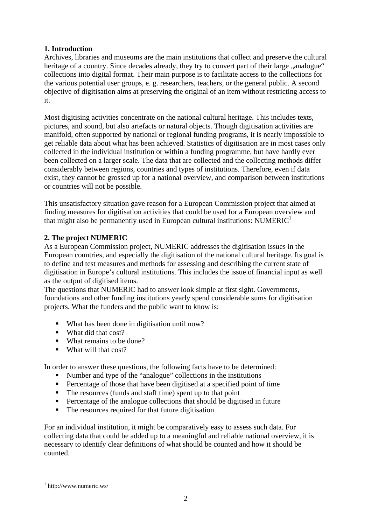# **1. Introduction**

Archives, libraries and museums are the main institutions that collect and preserve the cultural heritage of a country. Since decades already, they try to convert part of their large "analogue" collections into digital format. Their main purpose is to facilitate access to the collections for the various potential user groups, e. g. researchers, teachers, or the general public. A second objective of digitisation aims at preserving the original of an item without restricting access to it.

Most digitising activities concentrate on the national cultural heritage. This includes texts, pictures, and sound, but also artefacts or natural objects. Though digitisation activities are manifold, often supported by national or regional funding programs, it is nearly impossible to get reliable data about what has been achieved. Statistics of digitisation are in most cases only collected in the individual institution or within a funding programme, but have hardly ever been collected on a larger scale. The data that are collected and the collecting methods differ considerably between regions, countries and types of institutions. Therefore, even if data exist, they cannot be grossed up for a national overview, and comparison between institutions or countries will not be possible.

This unsatisfactory situation gave reason for a European Commission project that aimed at finding measures for digitisation activities that could be used for a European overview and that might also be permanently used in European cultural institutions:  $\overline{N}$ UMERIC<sup>1</sup>

# **2. The project NUMERIC**

As a European Commission project, NUMERIC addresses the digitisation issues in the European countries, and especially the digitisation of the national cultural heritage. Its goal is to define and test measures and methods for assessing and describing the current state of digitisation in Europe's cultural institutions. This includes the issue of financial input as well as the output of digitised items.

The questions that NUMERIC had to answer look simple at first sight. Governments, foundations and other funding institutions yearly spend considerable sums for digitisation projects. What the funders and the public want to know is:

- What has been done in digitisation until now?
- What did that cost?
- What remains to be done?
- $\blacksquare$  What will that cost?

In order to answer these questions, the following facts have to be determined:

- Number and type of the "analogue" collections in the institutions
- **Percentage of those that have been digitised at a specified point of time**
- $\blacksquare$  The resources (funds and staff time) spent up to that point
- Percentage of the analogue collections that should be digitised in future
- The resources required for that future digitisation

For an individual institution, it might be comparatively easy to assess such data. For collecting data that could be added up to a meaningful and reliable national overview, it is necessary to identify clear definitions of what should be counted and how it should be counted.

1

<sup>1</sup> http://www.numeric.ws/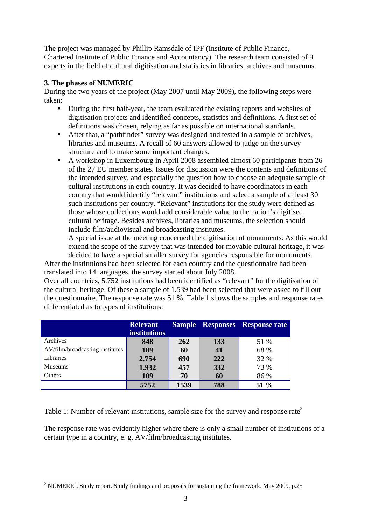The project was managed by Phillip Ramsdale of IPF (Institute of Public Finance, Chartered Institute of Public Finance and Accountancy). The research team consisted of 9 experts in the field of cultural digitisation and statistics in libraries, archives and museums.

### **3. The phases of NUMERIC**

During the two years of the project (May 2007 until May 2009), the following steps were taken:

- During the first half-year, the team evaluated the existing reports and websites of digitisation projects and identified concepts, statistics and definitions. A first set of definitions was chosen, relying as far as possible on international standards.
- After that, a "pathfinder" survey was designed and tested in a sample of archives, libraries and museums. A recall of 60 answers allowed to judge on the survey structure and to make some important changes.
- A workshop in Luxembourg in April 2008 assembled almost 60 participants from 26 of the 27 EU member states. Issues for discussion were the contents and definitions of the intended survey, and especially the question how to choose an adequate sample of cultural institutions in each country. It was decided to have coordinators in each country that would identify "relevant" institutions and select a sample of at least 30 such institutions per country. "Relevant" institutions for the study were defined as those whose collections would add considerable value to the nation's digitised cultural heritage. Besides archives, libraries and museums, the selection should include film/audiovisual and broadcasting institutes.

A special issue at the meeting concerned the digitisation of monuments. As this would extend the scope of the survey that was intended for movable cultural heritage, it was

decided to have a special smaller survey for agencies responsible for monuments. After the institutions had been selected for each country and the questionnaire had been translated into 14 languages, the survey started about July 2008.

Over all countries, 5.752 institutions had been identified as "relevant" for the digitisation of the cultural heritage. Of these a sample of 1.539 had been selected that were asked to fill out the questionnaire. The response rate was 51 %. Table 1 shows the samples and response rates differentiated as to types of institutions:

|                                 | <b>Relevant</b><br><b>institutions</b> |      |     | <b>Sample Responses Response rate</b> |
|---------------------------------|----------------------------------------|------|-----|---------------------------------------|
| Archives                        | 848                                    | 262  | 133 | 51 %                                  |
| AV/film/broadcasting institutes | 109                                    | 60   | 41  | 68 %                                  |
| Libraries                       | 2.754                                  | 690  | 222 | 32 %                                  |
| <b>Museums</b>                  | 1.932                                  | 457  | 332 | 73 %                                  |
| Others                          | 109                                    | 70   | 60  | 86 %                                  |
|                                 | 5752                                   | 1539 | 788 | 51 %                                  |

Table 1: Number of relevant institutions, sample size for the survey and response rate<sup>2</sup>

The response rate was evidently higher where there is only a small number of institutions of a certain type in a country, e. g. AV/film/broadcasting institutes.

<sup>1</sup> <sup>2</sup> NUMERIC. Study report. Study findings and proposals for sustaining the framework. May 2009, p.25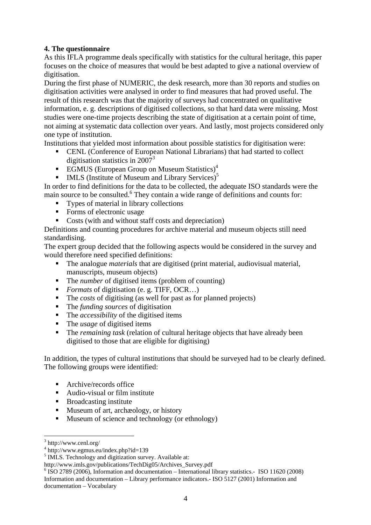# **4. The questionnaire**

As this IFLA programme deals specifically with statistics for the cultural heritage, this paper focuses on the choice of measures that would be best adapted to give a national overview of digitisation.

During the first phase of NUMERIC, the desk research, more than 30 reports and studies on digitisation activities were analysed in order to find measures that had proved useful. The result of this research was that the majority of surveys had concentrated on qualitative information, e. g. descriptions of digitised collections, so that hard data were missing. Most studies were one-time projects describing the state of digitisation at a certain point of time, not aiming at systematic data collection over years. And lastly, most projects considered only one type of institution.

Institutions that yielded most information about possible statistics for digitisation were:

- CENL (Conference of European National Librarians) that had started to collect digitisation statistics in  $2007<sup>3</sup>$
- **EGMUS** (European Group on Museum Statistics)<sup>4</sup>
- IMLS (Institute of Museum and Library Services)<sup>5</sup>

In order to find definitions for the data to be collected, the adequate ISO standards were the main source to be consulted.<sup>6</sup> They contain a wide range of definitions and counts for:

- Types of material in library collections
- Forms of electronic usage
- Costs (with and without staff costs and depreciation)

Definitions and counting procedures for archive material and museum objects still need standardising.

The expert group decided that the following aspects would be considered in the survey and would therefore need specified definitions:

- The analogue *materials* that are digitised (print material, audiovisual material, manuscripts, museum objects)
- The *number* of digitised items (problem of counting)
- *Formats* of digitisation (e. g. TIFF, OCR...)
- The *costs* of digitising (as well for past as for planned projects)
- The *funding sources* of digitisation
- The *accessibility* of the digitised items
- The *usage* of digitised items
- The *remaining task* (relation of cultural heritage objects that have already been digitised to those that are eligible for digitising)

In addition, the types of cultural institutions that should be surveyed had to be clearly defined. The following groups were identified:

- Archive/records office
- Audio-visual or film institute
- Broadcasting institute
- Museum of art, archæology, or history
- Museum of science and technology (or ethnology)

1

6 ISO 2789 (2006), Information and documentation – International library statistics.- ISO 11620 (2008) Information and documentation – Library performance indicators.- ISO 5127 (2001) Information and documentation – Vocabulary

<sup>3</sup> http://www.cenl.org/

<sup>4</sup> http://www.egmus.eu/index.php?id=139

<sup>&</sup>lt;sup>5</sup> IMLS. Technology and digitization survey. Available at:

http://www.imls.gov/publications/TechDig05/Archives\_Survey.pdf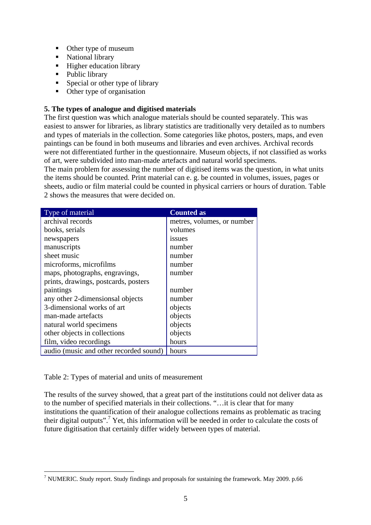- Other type of museum
- National library
- Higher education library
- Public library
- Special or other type of library
- Other type of organisation

### **5. The types of analogue and digitised materials**

The first question was which analogue materials should be counted separately. This was easiest to answer for libraries, as library statistics are traditionally very detailed as to numbers and types of materials in the collection. Some categories like photos, posters, maps, and even paintings can be found in both museums and libraries and even archives. Archival records were not differentiated further in the questionnaire. Museum objects, if not classified as works of art, were subdivided into man-made artefacts and natural world specimens.

The main problem for assessing the number of digitised items was the question, in what units the items should be counted. Print material can e. g. be counted in volumes, issues, pages or sheets, audio or film material could be counted in physical carriers or hours of duration. Table 2 shows the measures that were decided on.

| Type of material                       | <b>Counted as</b>          |
|----------------------------------------|----------------------------|
| archival records                       | metres, volumes, or number |
| books, serials                         | volumes                    |
| newspapers                             | <i>issues</i>              |
| manuscripts                            | number                     |
| sheet music                            | number                     |
| microforms, microfilms                 | number                     |
| maps, photographs, engravings,         | number                     |
| prints, drawings, postcards, posters   |                            |
| paintings                              | number                     |
| any other 2-dimensionsal objects       | number                     |
| 3-dimensional works of art             | objects                    |
| man-made artefacts                     | objects                    |
| natural world specimens                | objects                    |
| other objects in collections           | objects                    |
| film, video recordings                 | hours                      |
| audio (music and other recorded sound) | hours                      |

Table 2: Types of material and units of measurement

The results of the survey showed, that a great part of the institutions could not deliver data as to the number of specified materials in their collections. "…it is clear that for many institutions the quantification of their analogue collections remains as problematic as tracing their digital outputs".<sup>7</sup> Yet, this information will be needed in order to calculate the costs of future digitisation that certainly differ widely between types of material.

TREES TO SET THE TRANSET THE TRANSWERFER.<br>THE STATE STATE STATE STATE THE FOOD SET ON 2009. p.66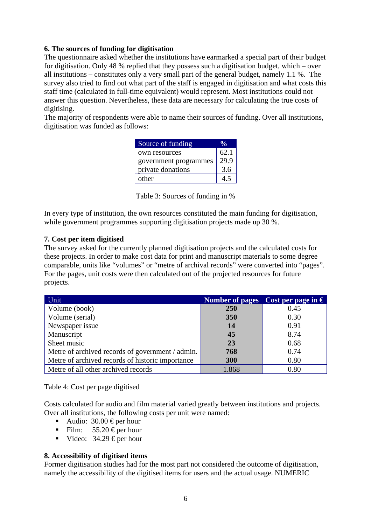### **6. The sources of funding for digitisation**

The questionnaire asked whether the institutions have earmarked a special part of their budget for digitisation. Only 48 % replied that they possess such a digitisation budget, which – over all institutions – constitutes only a very small part of the general budget, namely 1.1 %. The survey also tried to find out what part of the staff is engaged in digitisation and what costs this staff time (calculated in full-time equivalent) would represent. Most institutions could not answer this question. Nevertheless, these data are necessary for calculating the true costs of digitising.

The majority of respondents were able to name their sources of funding. Over all institutions, digitisation was funded as follows:

| Source of funding     |      |
|-----------------------|------|
| own resources         | 62.1 |
| government programmes | 29.9 |
| private donations     | 3.6  |
| other                 |      |

Table 3: Sources of funding in %

In every type of institution, the own resources constituted the main funding for digitisation, while government programmes supporting digitisation projects made up 30 %.

#### **7. Cost per item digitised**

The survey asked for the currently planned digitisation projects and the calculated costs for these projects. In order to make cost data for print and manuscript materials to some degree comparable, units like "volumes" or "metre of archival records" were converted into "pages". For the pages, unit costs were then calculated out of the projected resources for future projects.

| Unit                                             |       | Number of pages Cost per page in $\epsilon$ |
|--------------------------------------------------|-------|---------------------------------------------|
| Volume (book)                                    | 250   | 0.45                                        |
| Volume (serial)                                  | 350   | 0.30                                        |
| Newspaper issue                                  | 14    | 0.91                                        |
| Manuscript                                       | 45    | 8.74                                        |
| Sheet music                                      | 23    | 0.68                                        |
| Metre of archived records of government / admin. | 768   | 0.74                                        |
| Metre of archived records of historic importance | 300   | 0.80                                        |
| Metre of all other archived records              | 1.868 | 0.80                                        |

Table 4: Cost per page digitised

Costs calculated for audio and film material varied greatly between institutions and projects. Over all institutions, the following costs per unit were named:

- Audio:  $30.00 \text{ Eper hour}$
- Film:  $55.20 \text{ Eper hour}$
- Video: 34.29 € per hour

#### **8. Accessibility of digitised items**

Former digitisation studies had for the most part not considered the outcome of digitisation, namely the accessibility of the digitised items for users and the actual usage. NUMERIC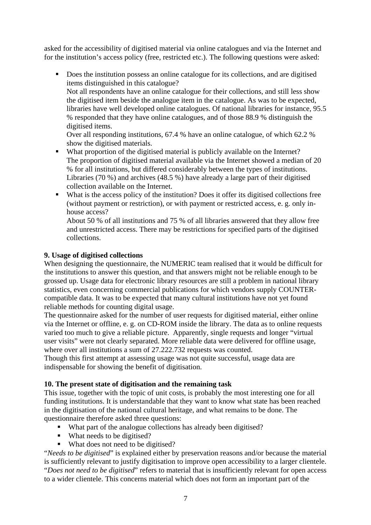asked for the accessibility of digitised material via online catalogues and via the Internet and for the institution's access policy (free, restricted etc.). The following questions were asked:

Does the institution possess an online catalogue for its collections, and are digitised items distinguished in this catalogue?

Not all respondents have an online catalogue for their collections, and still less show the digitised item beside the analogue item in the catalogue. As was to be expected, libraries have well developed online catalogues. Of national libraries for instance, 95.5 % responded that they have online catalogues, and of those 88.9 % distinguish the digitised items.

Over all responding institutions, 67.4 % have an online catalogue, of which 62.2 % show the digitised materials.

- What proportion of the digitised material is publicly available on the Internet? The proportion of digitised material available via the Internet showed a median of 20 % for all institutions, but differed considerably between the types of institutions. Libraries (70 %) and archives (48.5 %) have already a large part of their digitised collection available on the Internet.
- What is the access policy of the institution? Does it offer its digitised collections free (without payment or restriction), or with payment or restricted access, e. g. only inhouse access?

About 50 % of all institutions and 75 % of all libraries answered that they allow free and unrestricted access. There may be restrictions for specified parts of the digitised collections.

# **9. Usage of digitised collections**

When designing the questionnaire, the NUMERIC team realised that it would be difficult for the institutions to answer this question, and that answers might not be reliable enough to be grossed up. Usage data for electronic library resources are still a problem in national library statistics, even concerning commercial publications for which vendors supply COUNTERcompatible data. It was to be expected that many cultural institutions have not yet found reliable methods for counting digital usage.

The questionnaire asked for the number of user requests for digitised material, either online via the Internet or offline, e. g. on CD-ROM inside the library. The data as to online requests varied too much to give a reliable picture. Apparently, single requests and longer "virtual user visits" were not clearly separated. More reliable data were delivered for offline usage, where over all institutions a sum of 27.222.732 requests was counted.

Though this first attempt at assessing usage was not quite successful, usage data are indispensable for showing the benefit of digitisation.

### **10. The present state of digitisation and the remaining task**

This issue, together with the topic of unit costs, is probably the most interesting one for all funding institutions. It is understandable that they want to know what state has been reached in the digitisation of the national cultural heritage, and what remains to be done. The questionnaire therefore asked three questions:

- What part of the analogue collections has already been digitised?
- What needs to be digitised?
- What does not need to be digitised?

"*Needs to be digitised*" is explained either by preservation reasons and/or because the material is sufficiently relevant to justify digitisation to improve open accessibility to a larger clientele. "*Does not need to be digitised*" refers to material that is insufficiently relevant for open access to a wider clientele. This concerns material which does not form an important part of the